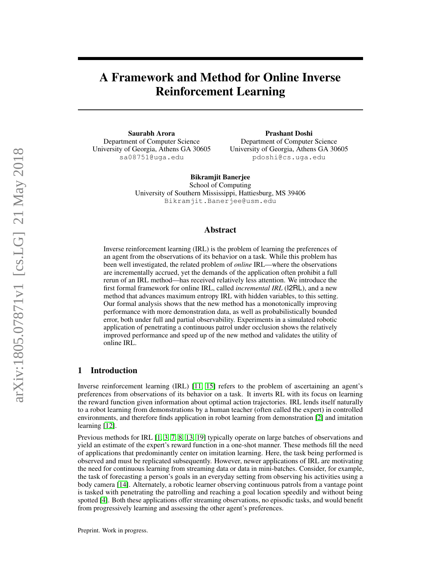# A Framework and Method for Online Inverse Reinforcement Learning

Saurabh Arora Department of Computer Science University of Georgia, Athens GA 30605 sa08751@uga.edu

Prashant Doshi Department of Computer Science University of Georgia, Athens GA 30605 pdoshi@cs.uga.edu

Bikramjit Banerjee School of Computing University of Southern Mississippi, Hattiesburg, MS 39406 Bikramjit.Banerjee@usm.edu

### Abstract

Inverse reinforcement learning (IRL) is the problem of learning the preferences of an agent from the observations of its behavior on a task. While this problem has been well investigated, the related problem of *online* IRL—where the observations are incrementally accrued, yet the demands of the application often prohibit a full rerun of an IRL method—has received relatively less attention. We introduce the first formal framework for online IRL, called *incremental IRL* (I2RL), and a new method that advances maximum entropy IRL with hidden variables, to this setting. Our formal analysis shows that the new method has a monotonically improving performance with more demonstration data, as well as probabilistically bounded error, both under full and partial observability. Experiments in a simulated robotic application of penetrating a continuous patrol under occlusion shows the relatively improved performance and speed up of the new method and validates the utility of online IRL.

## 1 Introduction

Inverse reinforcement learning (IRL) [\[11,](#page-9-0) [15\]](#page-9-1) refers to the problem of ascertaining an agent's preferences from observations of its behavior on a task. It inverts RL with its focus on learning the reward function given information about optimal action trajectories. IRL lends itself naturally to a robot learning from demonstrations by a human teacher (often called the expert) in controlled environments, and therefore finds application in robot learning from demonstration [\[2\]](#page-9-2) and imitation learning [\[12\]](#page-9-3).

Previous methods for IRL [\[1,](#page-9-4) [3,](#page-9-5) [7,](#page-9-6) [8,](#page-9-7) [13,](#page-9-8) [19\]](#page-9-9) typically operate on large batches of observations and yield an estimate of the expert's reward function in a one-shot manner. These methods fill the need of applications that predominantly center on imitation learning. Here, the task being performed is observed and must be replicated subsequently. However, newer applications of IRL are motivating the need for continuous learning from streaming data or data in mini-batches. Consider, for example, the task of forecasting a person's goals in an everyday setting from observing his activities using a body camera [\[14\]](#page-9-10). Alternately, a robotic learner observing continuous patrols from a vantage point is tasked with penetrating the patrolling and reaching a goal location speedily and without being spotted [\[4\]](#page-9-11). Both these applications offer streaming observations, no episodic tasks, and would benefit from progressively learning and assessing the other agent's preferences.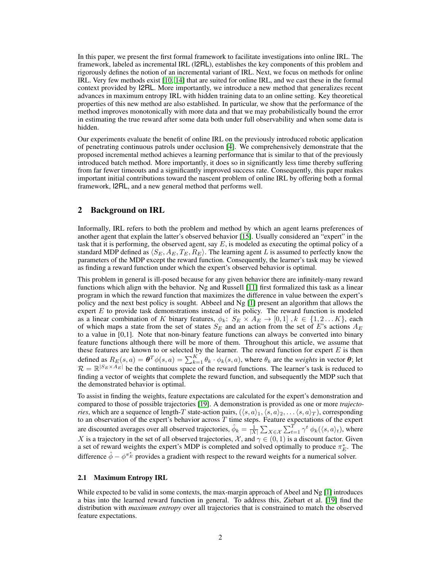In this paper, we present the first formal framework to facilitate investigations into online IRL. The framework, labeled as incremental IRL (I2RL), establishes the key components of this problem and rigorously defines the notion of an incremental variant of IRL. Next, we focus on methods for online IRL. Very few methods exist [\[10,](#page-9-12) [14\]](#page-9-10) that are suited for online IRL, and we cast these in the formal context provided by I2RL. More importantly, we introduce a new method that generalizes recent advances in maximum entropy IRL with hidden training data to an online setting. Key theoretical properties of this new method are also established. In particular, we show that the performance of the method improves monotonically with more data and that we may probabilistically bound the error in estimating the true reward after some data both under full observability and when some data is hidden.

Our experiments evaluate the benefit of online IRL on the previously introduced robotic application of penetrating continuous patrols under occlusion [\[4\]](#page-9-11). We comprehensively demonstrate that the proposed incremental method achieves a learning performance that is similar to that of the previously introduced batch method. More importantly, it does so in significantly less time thereby suffering from far fewer timeouts and a significantly improved success rate. Consequently, this paper makes important initial contributions toward the nascent problem of online IRL by offering both a formal framework, I2RL, and a new general method that performs well.

## <span id="page-1-0"></span>2 Background on IRL

Informally, IRL refers to both the problem and method by which an agent learns preferences of another agent that explain the latter's observed behavior [\[15\]](#page-9-1). Usually considered an "expert" in the task that it is performing, the observed agent, say  $E$ , is modeled as executing the optimal policy of a standard MDP defined as  $\langle S_E, A_E, T_E, R_E \rangle$ . The learning agent L is assumed to perfectly know the parameters of the MDP except the reward function. Consequently, the learner's task may be viewed as finding a reward function under which the expert's observed behavior is optimal.

This problem in general is ill-posed because for any given behavior there are infinitely-many reward functions which align with the behavior. Ng and Russell [\[11\]](#page-9-0) first formalized this task as a linear program in which the reward function that maximizes the difference in value between the expert's policy and the next best policy is sought. Abbeel and Ng [\[1\]](#page-9-4) present an algorithm that allows the expert  $E$  to provide task demonstrations instead of its policy. The reward function is modeled as a linear combination of K binary features,  $\phi_k$ :  $S_E \times A_E \rightarrow [0,1]$ ,  $k \in \{1,2...K\}$ , each of which maps a state from the set of states  $S_E$  and an action from the set of E's actions  $A_E$ to a value in [0,1]. Note that non-binary feature functions can always be converted into binary feature functions although there will be more of them. Throughout this article, we assume that these features are known to or selected by the learner. The reward function for expert  $E$  is then defined as  $R_E(s, a) = \theta^T \phi(s, a) = \sum_{k=1}^K \theta_k \cdot \phi_k(s, a)$ , where  $\theta_k$  are the *weights* in vector  $\theta$ ; let  $\mathcal{R} = \mathbb{R}^{|S_E \times A_E|}$  be the continuous space of the reward functions. The learner's task is reduced to finding a vector of weights that complete the reward function, and subsequently the MDP such that the demonstrated behavior is optimal.

To assist in finding the weights, feature expectations are calculated for the expert's demonstration and compared to those of possible trajectories [\[19\]](#page-9-9). A demonstration is provided as one or more *trajectories*, which are a sequence of length-T state-action pairs,  $(\langle s, a \rangle_1, \langle s, a \rangle_2, \dots, \langle s, a \rangle_T)$ , corresponding to an observation of the expert's behavior across  $T$  time steps. Feature expectations of the expert are discounted averages over all observed trajectories,  $\hat{\phi}_k = \frac{1}{|X|} \sum_{X \in \mathcal{X}} \sum_{t=1}^T \gamma^t \phi_k(\langle s, a \rangle_t)$ , where X is a trajectory in the set of all observed trajectories,  $\mathcal{X}$ , and  $\gamma \in (0,1)$  is a discount factor. Given a set of reward weights the expert's MDP is completed and solved optimally to produce  $\pi_E^*$ . The difference  $\hat{\phi} - \phi^{\pi_E^*}$  provides a gradient with respect to the reward weights for a numerical solver.

#### 2.1 Maximum Entropy IRL

While expected to be valid in some contexts, the max-margin approach of Abeel and  $Ng$  [\[1\]](#page-9-4) introduces a bias into the learned reward function in general. To address this, Ziebart et al. [\[19\]](#page-9-9) find the distribution with *maximum entropy* over all trajectories that is constrained to match the observed feature expectations.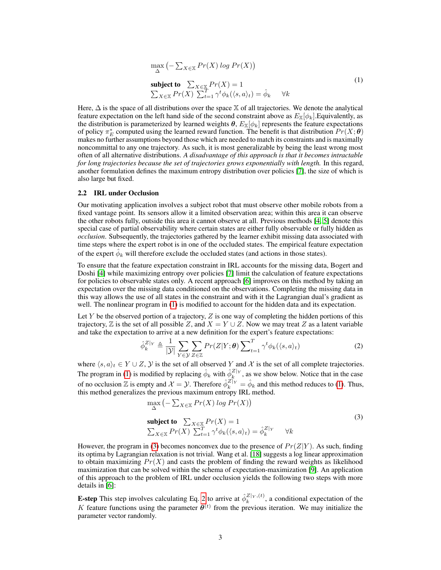<span id="page-2-0"></span>
$$
\max_{\Delta} \left( -\sum_{X \in \mathbb{X}} Pr(X) \log Pr(X) \right)
$$
\n
$$
\text{subject to } \sum_{X \in \mathbb{X}} Pr(X) = 1
$$
\n
$$
\sum_{X \in \mathbb{X}} Pr(X) \sum_{t=1}^{T} \gamma^{t} \phi_{k}(\langle s, a \rangle_{t}) = \hat{\phi}_{k} \quad \forall k
$$
\n(1)

Here,  $\Delta$  is the space of all distributions over the space X of all trajectories. We denote the analytical feature expectation on the left hand side of the second constraint above as  $E_{\mathbb{X}}[\phi_k]$ . Equivalently, as the distribution is parameterized by learned weights  $\theta$ ,  $E_{\rm X}[\phi_k]$  represents the feature expectations of policy  $\pi_E^*$  computed using the learned reward function. The benefit is that distribution  $Pr(X; \theta)$ makes no further assumptions beyond those which are needed to match its constraints and is maximally noncommittal to any one trajectory. As such, it is most generalizable by being the least wrong most often of all alternative distributions. *A disadvantage of this approach is that it becomes intractable for long trajectories because the set of trajectories grows exponentially with length.* In this regard, another formulation defines the maximum entropy distribution over policies [\[7\]](#page-9-6), the size of which is also large but fixed.

#### <span id="page-2-3"></span>2.2 IRL under Occlusion

Our motivating application involves a subject robot that must observe other mobile robots from a fixed vantage point. Its sensors allow it a limited observation area; within this area it can observe the other robots fully, outside this area it cannot observe at all. Previous methods [\[4,](#page-9-11) [5\]](#page-9-13) denote this special case of partial observability where certain states are either fully observable or fully hidden as *occlusion*. Subsequently, the trajectories gathered by the learner exhibit missing data associated with time steps where the expert robot is in one of the occluded states. The empirical feature expectation of the expert  $\hat{\phi}_k$  will therefore exclude the occluded states (and actions in those states).

To ensure that the feature expectation constraint in IRL accounts for the missing data, Bogert and Doshi [\[4\]](#page-9-11) while maximizing entropy over policies [\[7\]](#page-9-6) limit the calculation of feature expectations for policies to observable states only. A recent approach [\[6\]](#page-9-14) improves on this method by taking an expectation over the missing data conditioned on the observations. Completing the missing data in this way allows the use of all states in the constraint and with it the Lagrangian dual's gradient as well. The nonlinear program in [\(1\)](#page-2-0) is modified to account for the hidden data and its expectation.

Let Y be the observed portion of a trajectory,  $Z$  is one way of completing the hidden portions of this trajectory, Z is the set of all possible Z, and  $X = Y \cup Z$ . Now we may treat Z as a latent variable and take the expectation to arrive at a new definition for the expert's feature expectations:

<span id="page-2-2"></span>
$$
\hat{\phi}_{k}^{Z|_{Y}} \triangleq \frac{1}{|\mathcal{Y}|} \sum_{Y \in \mathcal{Y}} \sum_{Z \in \mathbb{Z}} Pr(Z|Y; \theta) \sum_{t=1}^{T} \gamma^{t} \phi_{k}(\langle s, a \rangle_{t})
$$
(2)

where  $\langle s, a \rangle_t \in Y \cup Z$ ,  $Y$  is the set of all observed Y and X is the set of all complete trajectories. The program in [\(1\)](#page-2-0) is modified by replacing  $\hat{\phi}_k$  with  $\hat{\phi}_k^{Z|_Y}$ , as we show below. Notice that in the case of no occlusion Z is empty and  $\mathcal{X} = \mathcal{Y}$ . Therefore  $\hat{\phi}_k^{Z|_Y} = \hat{\phi}_k$  and this method reduces to [\(1\)](#page-2-0). Thus, this method generalizes the previous maximum entropy IRL method.

<span id="page-2-1"></span>
$$
\max_{\Delta} \left( -\sum_{X \in \mathbb{X}} Pr(X) \log Pr(X) \right)
$$
\n
$$
\text{subject to } \sum_{X \in \mathbb{X}} Pr(X) = 1
$$
\n
$$
\sum_{X \in \mathbb{X}} Pr(X) \sum_{t=1}^{T} \gamma^{t} \phi_{k}(\langle s, a \rangle_{t}) = \hat{\phi}_{k}^{Z|_{Y}} \quad \forall k
$$
\n(3)

However, the program in [\(3\)](#page-2-1) becomes nonconvex due to the presence of  $Pr(Z|Y)$ . As such, finding its optima by Lagrangian relaxation is not trivial. Wang et al. [\[18\]](#page-9-15) suggests a log linear approximation to obtain maximizing  $Pr(X)$  and casts the problem of finding the reward weights as likelihood maximization that can be solved within the schema of expectation-maximization [\[9\]](#page-9-16). An application of this approach to the problem of IRL under occlusion yields the following two steps with more details in [\[6\]](#page-9-14):

**E-step** This step involves calculating Eq. [2](#page-2-2) to arrive at  $\hat{\phi}_k^{Z|Y,(t)}$ , a conditional expectation of the K feature functions using the parameter  $\theta^{(t)}$  from the previous iteration. We may initialize the parameter vector randomly.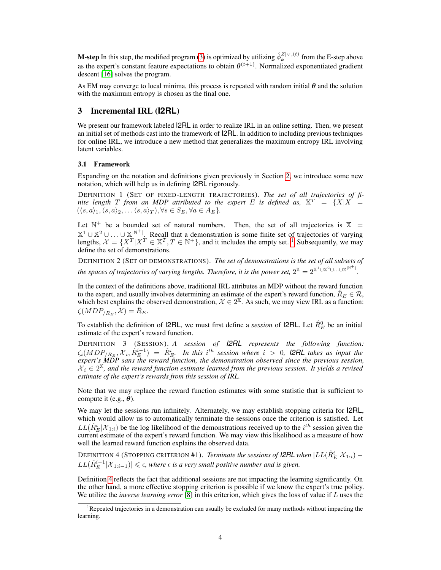**M-step** In this step, the modified program [\(3\)](#page-2-1) is optimized by utilizing  $\hat{\phi}_k^{Z|_Y,(t)}$  from the E-step above as the expert's constant feature expectations to obtain  $\theta^{(t+1)}$ . Normalized exponentiated gradient descent [\[16\]](#page-9-17) solves the program.

As EM may converge to local minima, this process is repeated with random initial  $\theta$  and the solution with the maximum entropy is chosen as the final one.

## 3 Incremental IRL (**I2RL**)

We present our framework labeled I2RL in order to realize IRL in an online setting. Then, we present an initial set of methods cast into the framework of I2RL. In addition to including previous techniques for online IRL, we introduce a new method that generalizes the maximum entropy IRL involving latent variables.

#### <span id="page-3-3"></span>3.1 Framework

Expanding on the notation and definitions given previously in Section [2,](#page-1-0) we introduce some new notation, which will help us in defining I2RL rigorously.

DEFINITION 1 (SET OF FIXED-LENGTH TRAJECTORIES). *The set of all trajectories of finite length*  $T$  *from an MDP attributed to the expert*  $E$  *is defined as,*  $X^T = \{X | X = \}$  $(\langle s, a \rangle_1, \langle s, a \rangle_2, \ldots \langle s, a \rangle_T), \forall s \in S_E, \forall a \in A_E$ *.* 

Let  $\mathbb{N}^+$  be a bounded set of natural numbers. Then, the set of all trajectories is  $\mathbb{X}$  =  $\mathbb{X}^1 \cup \mathbb{X}^2 \cup \ldots \cup \mathbb{X}^{|\mathbb{N}^+|}$ . Recall that a demonstration is some finite set of trajectories of varying lengths,  $\mathcal{X} = \{X^T | X^T \in \mathbb{X}^T, T \in \mathbb{N}^+\}$ , and it includes the empty set. <sup>[1](#page-3-0)</sup> Subsequently, we may define the set of demonstrations.

DEFINITION 2 (SET OF DEMONSTRATIONS). *The set of demonstrations is the set of all subsets of the spaces of trajectories of varying lengths. Therefore, it is the power set,*  $2^{\mathbb{X}} = 2^{\mathbb{X}^1 \cup \mathbb{X}^2 \cup ... \cup \mathbb{X}^{|\mathbb{N}^+|}}$ .

In the context of the definitions above, traditional IRL attributes an MDP without the reward function to the expert, and usually involves determining an estimate of the expert's reward function,  $\hat{R}_E \in \mathcal{R}$ , which best explains the observed demonstration,  $X \in 2^{\mathbb{X}}$ . As such, we may view IRL as a function:  $\zeta(MDP_{/R_E}, \mathcal{X}) = \hat{R}_E.$ 

To establish the definition of  $|2RL$ , we must first define a *session* of  $|2RL$ . Let  $\hat{R}_E^0$  be an initial estimate of the expert's reward function.

<span id="page-3-2"></span>DEFINITION 3 (SESSION). *A session of I2RL represents the following function:*  $\zeta_i(MDP_{/R_E}, \mathcal{X}_i, \hat{R}^{i-1}_E) = \hat{R}^i_E$ . In this i<sup>th</sup> session where  $i > 0$ , **I2RL** takes as input the *expert's MDP sans the reward function, the demonstration observed since the previous session,*  $x'_{i} \in 2^{x}$ , and the reward function estimate learned from the previous session. It yields a revised *estimate of the expert's rewards from this session of IRL.*

Note that we may replace the reward function estimates with some statistic that is sufficient to compute it (e.g.,  $\theta$ ).

We may let the sessions run infinitely. Alternately, we may establish stopping criteria for  $|2RL$ , which would allow us to automatically terminate the sessions once the criterion is satisfied. Let  $LL(\hat{R}_{E}^{i} | \mathcal{X}_{1:i})$  be the log likelihood of the demonstrations received up to the  $i^{th}$  session given the current estimate of the expert's reward function. We may view this likelihood as a measure of how well the learned reward function explains the observed data.

<span id="page-3-1"></span>DEFINITION 4 (STOPPING CRITERION #1). *Terminate the sessions of*  $\mathsf{I2RL}$  *when*  $|LL(\hat{R}_E^i|\mathcal{X}_{1:i}) LL( \hat{R}^{i-1}_E |{\cal X}_{1:i-1})|$  ≤  $\epsilon$ , where  $\epsilon$  is a very small positive number and is given.

Definition [4](#page-3-1) reflects the fact that additional sessions are not impacting the learning significantly. On the other hand, a more effective stopping criterion is possible if we know the expert's true policy. We utilize the *inverse learning error* [\[8\]](#page-9-7) in this criterion, which gives the loss of value if L uses the

<span id="page-3-0"></span><sup>1</sup>Repeated trajectories in a demonstration can usually be excluded for many methods without impacting the learning.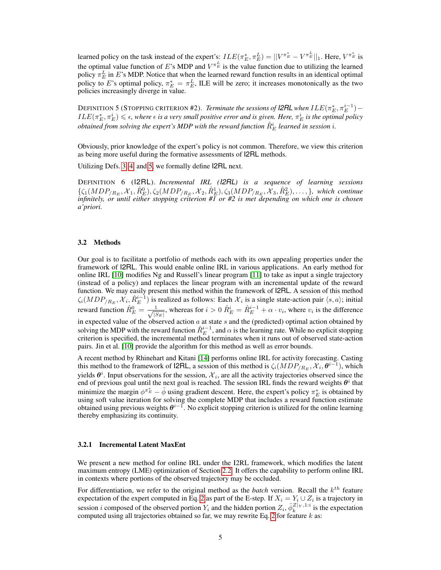learned policy on the task instead of the expert's:  $ILE(\pi_E^*, \pi_E^L) = ||V^{\pi_E^*} - V^{\pi_E^L}||_1$ . Here,  $V^{\pi_E^*}$  is the optimal value function of E's MDP and  $V^{\pi_E^L}$  is the value function due to utilizing the learned policy  $\pi_E^L$  in E's MDP. Notice that when the learned reward function results in an identical optimal policy to E's optimal policy,  $\pi_E^* = \pi_E^L$ , ILE will be zero; it increases monotonically as the two policies increasingly diverge in value.

<span id="page-4-0"></span>DEFINITION 5 (STOPPING CRITERION #2). *Terminate the sessions of l2RL when*  $ILE(\pi_E^*, \pi_E^{i-1}) ILE(\pi_E^*, \pi_E^i) \leqslant \epsilon$ , where  $\epsilon$  is a very small positive error and is given. Here,  $\pi_E^i$  is the optimal policy  $\dot{c}$  *obtained from solving the expert's MDP with the reward function*  $\hat{R}_E^i$  *learned in session*  $i$ *.* 

Obviously, prior knowledge of the expert's policy is not common. Therefore, we view this criterion as being more useful during the formative assessments of I2RL methods.

Utilizing Defs. [3,](#page-3-2) [4,](#page-3-1) and [5,](#page-4-0) we formally define I2RL next.

DEFINITION 6 (I2RL). *Incremental IRL (I2RL) is a sequence of learning sessions*  $\{\zeta_1(MDP_{/R_E}, \mathcal{X}_1, \hat{R}_E^0), \zeta_2(MDP_{/R_E}, \mathcal{X}_2, \hat{R}_E^1), \zeta_3(MDP_{/R_E}, \mathcal{X}_3, \hat{R}_E^2), \dots, \},$  which continue *infinitely, or until either stopping criterion #1 or #2 is met depending on which one is chosen a'priori.*

#### 3.2 Methods

Our goal is to facilitate a portfolio of methods each with its own appealing properties under the framework of I2RL. This would enable online IRL in various applications. An early method for online IRL [\[10\]](#page-9-12) modifies Ng and Russell's linear program [\[11\]](#page-9-0) to take as input a single trajectory (instead of a policy) and replaces the linear program with an incremental update of the reward function. We may easily present this method within the framework of I2RL. A session of this method  $\zeta_i(MDP_{/R_E}, \mathcal{X}_i, \hat{R}_E^{i-1})$  is realized as follows: Each  $\mathcal{X}_i$  is a single state-action pair  $\langle s, a \rangle$ ; initial reward function  $\hat{R}_{E}^{0} = \frac{1}{\sqrt{3}}$  $\frac{1}{|S_E|}$ , whereas for  $i > 0$   $\hat{R}_E^i = \hat{R}_E^{i-1} + \alpha \cdot v_i$ , where  $v_i$  is the difference in expected value of the observed action  $a$  at state  $s$  and the (predicted) optimal action obtained by solving the MDP with the reward function  $\hat{R}_E^{i-1}$ , and  $\alpha$  is the learning rate. While no explicit stopping criterion is specified, the incremental method terminates when it runs out of observed state-action pairs. Jin et al. [\[10\]](#page-9-12) provide the algorithm for this method as well as error bounds.

A recent method by Rhinehart and Kitani [\[14\]](#page-9-10) performs online IRL for activity forecasting. Casting this method to the framework of l2RL, a session of this method is  $\zeta_i(MDP_{/R_E}, \mathcal{X}_i, \theta^{i-1})$ , which yields  $\theta^i$ . Input observations for the session,  $\mathcal{X}_i$ , are all the activity trajectories observed since the end of previous goal until the next goal is reached. The session IRL finds the reward weights  $\theta^i$  that minimize the margin  $\phi^{\pi_E^*} - \hat{\phi}$  using gradient descent. Here, the expert's policy  $\pi_E^*$  is obtained by using soft value iteration for solving the complete MDP that includes a reward function estimate obtained using previous weights  $\theta^{i-1}$ . No explicit stopping criterion is utilized for the online learning thereby emphasizing its continuity.

#### 3.2.1 Incremental Latent MaxEnt

We present a new method for online IRL under the I2RL framework, which modifies the latent maximum entropy (LME) optimization of Section [2.2.](#page-2-3) It offers the capability to perform online IRL in contexts where portions of the observed trajectory may be occluded.

For differentiation, we refer to the original method as the *batch* version. Recall the  $k^{th}$  feature expectation of the expert computed in Eq. [2](#page-2-2) as part of the E-step. If  $X_i = Y_i \cup Z_i$  is a trajectory in session *i* composed of the observed portion  $Y_i$  and the hidden portion  $Z_i$ ,  $\hat{\phi}_k^{Z|_Y,1:i}$  is the expectation computed using all trajectories obtained so far, we may rewrite Eq. [2](#page-2-2) for feature  $k$  as: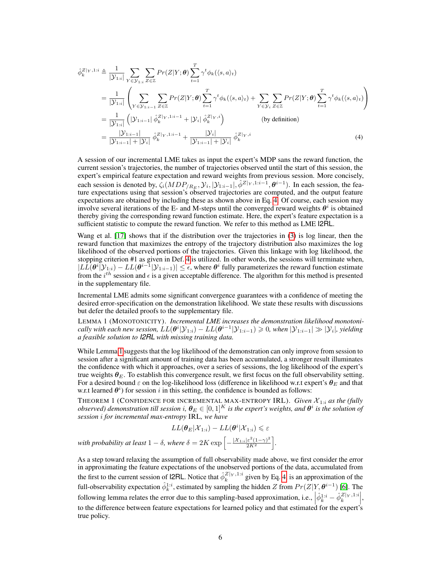$$
\hat{\phi}_{k}^{Z|_{Y},1:i} \triangleq \frac{1}{|\mathcal{Y}_{1:i}|} \sum_{Y \in \mathcal{Y}_{1:i}} \sum_{Z \in \mathbb{Z}} Pr(Z|Y; \theta) \sum_{t=1}^{T} \gamma^{t} \phi_{k}(\langle s, a \rangle_{t})
$$
\n
$$
= \frac{1}{|\mathcal{Y}_{1:i}|} \left( \sum_{Y \in \mathcal{Y}_{1:i-1}} \sum_{Z \in \mathbb{Z}} Pr(Z|Y; \theta) \sum_{t=1}^{T} \gamma^{t} \phi_{k}(\langle s, a \rangle_{t}) + \sum_{Y \in \mathcal{Y}_{i}} \sum_{Z \in \mathbb{Z}} Pr(Z|Y; \theta) \sum_{t=1}^{T} \gamma^{t} \phi_{k}(\langle s, a \rangle_{t}) \right)
$$
\n
$$
= \frac{1}{|\mathcal{Y}_{1:i}|} \left( |\mathcal{Y}_{1:i-1}| \hat{\phi}_{k}^{Z|_{Y},1:i-1} + |\mathcal{Y}_{i}| \hat{\phi}_{k}^{Z|_{Y},i} \right) \qquad \text{(by definition)}
$$
\n
$$
= \frac{|\mathcal{Y}_{1:i-1}| + |\mathcal{Y}_{i}|}{|\mathcal{Y}_{1:i-1}| + |\mathcal{Y}_{i}|} \hat{\phi}_{k}^{Z|_{Y},1:i-1} + \frac{|\mathcal{Y}_{i}|}{|\mathcal{Y}_{1:i-1}| + |\mathcal{Y}_{i}|} \hat{\phi}_{k}^{Z|_{Y},i} \qquad (4)
$$

<span id="page-5-0"></span>A session of our incremental LME takes as input the expert's MDP sans the reward function, the current session's trajectories, the number of trajectories observed until the start of this session, the expert's empirical feature expectation and reward weights from previous session. More concisely, each session is denoted by,  $\zeta_i(MDP_{/R_E}, \mathcal{Y}_i, |\mathcal{Y}_{1:i-1}|, \hat{\phi}^{Z|_Y, 1:i-1}, \theta^{i-1})$ . In each session, the feature expectations using that session's observed trajectories are computed, and the output feature expectations are obtained by including these as shown above in Eq. [4.](#page-5-0) Of course, each session may involve several iterations of the E- and M-steps until the converged reward weights  $\theta^i$  is obtained thereby giving the corresponding reward function estimate. Here, the expert's feature expectation is a sufficient statistic to compute the reward function. We refer to this method as LME I2RL.

Wang et al. [\[17\]](#page-9-18) shows that if the distribution over the trajectories in [\(3\)](#page-2-1) is log linear, then the reward function that maximizes the entropy of the trajectory distribution also maximizes the log likelihood of the observed portions of the trajectories. Given this linkage with log likelihood, the stopping criterion #1 as given in Def. [4](#page-3-1) is utilized. In other words, the sessions will terminate when,  $|L\overline{L}(\theta^i|\mathcal{Y}_{1:i}) - LL(\theta^{i-1}|\mathcal{Y}_{1:i-1})| \leq \epsilon$ , where  $\theta^i$  fully parameterizes the reward function estimate from the  $i^{th}$  session and  $\epsilon$  is a given acceptable difference. The algorithm for this method is presented in the supplementary file.

Incremental LME admits some significant convergence guarantees with a confidence of meeting the desired error-specification on the demonstration likelihood. We state these results with discussions but defer the detailed proofs to the supplementary file.

<span id="page-5-1"></span>LEMMA 1 (MONOTONICITY). *Incremental LME increases the demonstration likelihood monotoni* $cal$  vith each new session,  $LL(\theta^i|\mathcal{Y}_{1:i})-LL(\theta^{i-1}|\mathcal{Y}_{1:i-1})\geqslant 0$ , when  $|\mathcal{Y}_{1:i-1}|\gg |\mathcal{Y}_i|$ , yielding *a feasible solution to I2RL with missing training data.*

While Lemma [1](#page-5-1) suggests that the log likelihood of the demonstration can only improve from session to session after a significant amount of training data has been accumulated, a stronger result illuminates the confidence with which it approaches, over a series of sessions, the log likelihood of the expert's true weights  $\theta_E$ . To establish this convergence result, we first focus on the full observability setting. For a desired bound  $\varepsilon$  on the log-likelihood loss (difference in likelihood w.r.t expert's  $\theta_E$  and that w.r.t learned  $\theta^i$ ) for session i in this setting, the confidence is bounded as follows:

<span id="page-5-2"></span>THEOREM 1 (CONFIDENCE FOR INCREMENTAL MAX-ENTROPY IRL). *Given* X 1:<sup>i</sup> *as the (fully*  $observed$ ) demonstration till session  $i$ ,  $\bm{\theta}_E \in [0,1]^K$  is the expert's weights, and  $\bm{\theta}^i$  is the solution of *session* i *for incremental max-entropy* IRL*, we have*

$$
LL(\boldsymbol{\theta}_E|\boldsymbol{\mathcal{X}}_{1:i})-LL(\boldsymbol{\theta}^i|\boldsymbol{\mathcal{X}}_{1:i})\leqslant \varepsilon
$$

*with probability at least*  $1 - \delta$ *, where*  $\delta = 2K \exp \left[-\frac{|\mathcal{X}_{1:i}| \varepsilon^2 (1-\gamma)^2}{2K^2}\right]$  $\frac{|\varepsilon^2(1-\gamma)^2}{2K^2}\bigg].$ 

As a step toward relaxing the assumption of full observability made above, we first consider the error in approximating the feature expectations of the unobserved portions of the data, accumulated from the first to the current session of I2RL. Notice that  $\hat{\phi}_k^{Z|Y,1:i}$  given by Eq. [4,](#page-5-0) is an approximation of the full-observability expectation  $\hat{\phi}_k^{1:i}$ , estimated by sampling the hidden Z from  $Pr(Z|Y, \theta^{i-1})$  [\[6\]](#page-9-14). The following lemma relates the error due to this sampling-based approximation, i.e.,  $\left| \hat{\phi}_k^{1:i} - \hat{\phi}_k^{Z|Y,1:i} \right|$ , to the difference between feature expectations for learned policy and that estimated for the expert's true policy.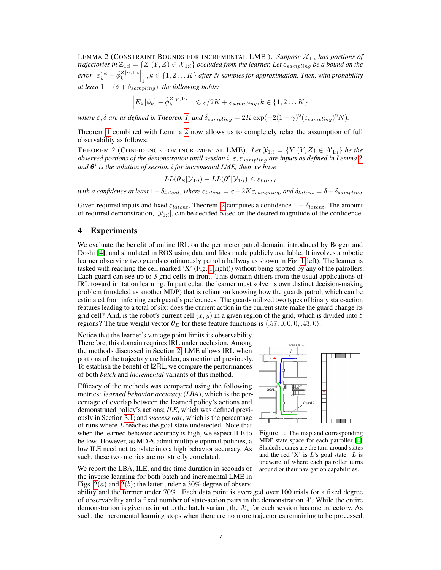<span id="page-6-0"></span>LEMMA 2 (CONSTRAINT BOUNDS FOR INCREMENTAL LME). Suppose  $\mathcal{X}_{1:i}$  has portions of *trajectories in*  $\mathbb{Z}_{1:i} = \{Z | (Y,Z) \in \mathcal{X}_{1:i}\}$  *occluded from the learner. Let*  $\epsilon_{sampling}$  *be a bound on the*  $error\left|\hat{\phi}_k^{1:i} - \hat{\phi}_k^{Z|Y,1:i}\right|_1, k \in \{1,2 \dots K\}$  *after* N *samples for approximation. Then, with probability at least*  $1 - (\delta + \delta_{sampling})$ *, the following holds:* 

$$
\left| E_{\mathbb{X}}[\phi_k] - \hat{\phi}_k^{Z|_Y,1:i} \right|_1 \leqslant \varepsilon/2K + \varepsilon_{sampling}, k \in \{1,2...K\}
$$

*where*  $\varepsilon$ ,  $\delta$  *are as defined in Theorem [1,](#page-5-2) and*  $\delta_{sampling} = 2K \exp(-2(1 - \gamma)^2 (\varepsilon_{sampling})^2 N)$ *.* 

Theorem [1](#page-5-2) combined with Lemma [2](#page-6-0) now allows us to completely relax the assumption of full observability as follows:

<span id="page-6-1"></span>THEOREM 2 (CONFIDENCE FOR INCREMENTAL LME). Let  $\mathcal{Y}_{1:i} = \{Y | (Y, Z) \in \mathcal{X}_{1:i}\}$  be the *observed portions of the demonstration until session* i*,* ε, εsampling *are inputs as defined in Lemma [2,](#page-6-0) and* θ i *is the solution of session* i *for incremental LME, then we have*

 $LL(\boldsymbol{\theta}_E | \mathcal{Y}_{1:i}) - LL(\boldsymbol{\theta}^i | \mathcal{Y}_{1:i}) \leq \varepsilon_{latent}$ 

*with a confidence at least*  $1-\delta_{latent}$ *, where*  $\varepsilon_{latent} = \varepsilon + 2K\varepsilon_{sampling}$ *, and*  $\delta_{latent} = \delta + \delta_{sampling}$ *.* 

Given required inputs and fixed  $\varepsilon_{latent}$ , Theorem [2](#page-6-1) computes a confidence  $1 - \delta_{latent}$ . The amount of required demonstration,  $|\mathcal{Y}_{1:i}|$ , can be decided based on the desired magnitude of the confidence.

## 4 Experiments

We evaluate the benefit of online IRL on the perimeter patrol domain, introduced by Bogert and Doshi [\[4\]](#page-9-11), and simulated in ROS using data and files made publicly available. It involves a robotic learner observing two guards continuously patrol a hallway as shown in Fig. [1\(](#page-6-2)left). The learner is tasked with reaching the cell marked 'X' (Fig. [1\(](#page-6-2)right)) without being spotted by any of the patrollers. Each guard can see up to 3 grid cells in front. This domain differs from the usual applications of IRL toward imitation learning. In particular, the learner must solve its own distinct decision-making problem (modeled as another MDP) that is reliant on knowing how the guards patrol, which can be estimated from inferring each guard's preferences. The guards utilized two types of binary state-action features leading to a total of six: does the current action in the current state make the guard change its grid cell? And, is the robot's current cell  $(x, y)$  in a given region of the grid, which is divided into 5 regions? The true weight vector  $\theta_E$  for these feature functions is  $\langle .57, 0, 0, 0, .43, 0 \rangle$ .

Notice that the learner's vantage point limits its observability. Therefore, this domain requires IRL under occlusion. Among the methods discussed in Section [2,](#page-1-0) LME allows IRL when portions of the trajectory are hidden, as mentioned previously. To establish the benefit of I2RL, we compare the performances of both *batch* and *incremental* variants of this method.

Efficacy of the methods was compared using the following metrics: *learned behavior accuracy* (*LBA*), which is the percentage of overlap between the learned policy's actions and demonstrated policy's actions; *ILE*, which was defined previously in Section [3.1;](#page-3-3) and *success rate*, which is the percentage of runs where L reaches the goal state undetected. Note that when the learned behavior accuracy is high, we expect ILE to be low. However, as MDPs admit multiple optimal policies, a low ILE need not translate into a high behavior accuracy. As such, these two metrics are not strictly correlated.

We report the LBA, ILE, and the time duration in seconds of the inverse learning for both batch and incremental LME in Figs.  $2(a)$  and  $2(b)$ ; the latter under a 30% degree of observ-



<span id="page-6-2"></span>Figure 1: The map and corresponding MDP state space for each patroller [\[4\]](#page-9-11). Shaded squares are the turn-around states and the red 'X' is  $L$ 's goal state.  $L$  is unaware of where each patroller turns around or their navigation capabilities.

ability and the former under 70%. Each data point is averaged over 100 trials for a fixed degree of observability and a fixed number of state-action pairs in the demonstration  $\mathcal{X}$ . While the entire demonstration is given as input to the batch variant, the  $\mathcal{X}_i$  for each session has one trajectory. As such, the incremental learning stops when there are no more trajectories remaining to be processed.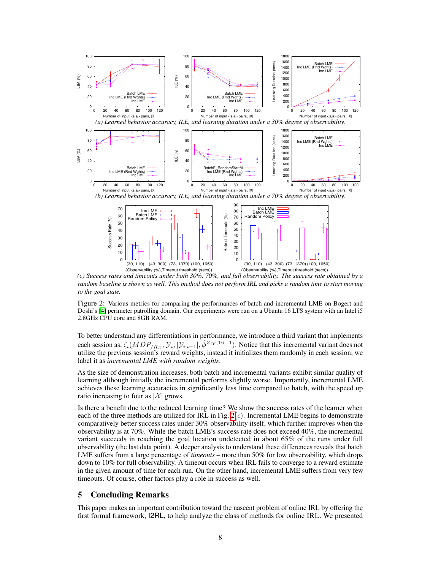

*(c) Success rates and timeouts under both 30%, 70%, and full observability. The success rate obtained by a random baseline is shown as well. This method does not perform IRL and picks a random time to start moving to the goal state.*

<span id="page-7-0"></span>Figure 2: Various metrics for comparing the performances of batch and incremental LME on Bogert and Doshi's [\[4\]](#page-9-11) perimeter patrolling domain. Our experiments were run on a Ubuntu 16 LTS system with an Intel i5 2.8GHz CPU core and 8GB RAM.

To better understand any differentiations in performance, we introduce a third variant that implements each session as,  $\zeta_i(MDP_{/R_E}, \mathcal{Y}_i, |\mathcal{Y}_{i:i-1}|, \hat{\phi}^{Z|_Y, 1:i-1})$ . Notice that this incremental variant does not utilize the previous session's reward weights, instead it initializes them randomly in each session; we label it as *incremental LME with random weights*.

As the size of demonstration increases, both batch and incremental variants exhibit similar quality of learning although initially the incremental performs slightly worse. Importantly, incremental LME achieves these learning accuracies in significantly less time compared to batch, with the speed up ratio increasing to four as  $|\mathcal{X}|$  grows.

Is there a benefit due to the reduced learning time? We show the success rates of the learner when each of the three methods are utilized for IRL in Fig.  $2(c)$ . Incremental LME begins to demonstrate comparatively better success rates under 30% observability itself, which further improves when the observability is at 70%. While the batch LME's success rate does not exceed 40%, the incremental variant succeeds in reaching the goal location undetected in about 65% of the runs under full observability (the last data point). A deeper analysis to understand these differences reveals that batch LME suffers from a large percentage of *timeouts* – more than 50% for low observability, which drops down to 10% for full observability. A timeout occurs when IRL fails to converge to a reward estimate in the given amount of time for each run. On the other hand, incremental LME suffers from very few timeouts. Of course, other factors play a role in success as well.

## 5 Concluding Remarks

This paper makes an important contribution toward the nascent problem of online IRL by offering the first formal framework, I2RL, to help analyze the class of methods for online IRL. We presented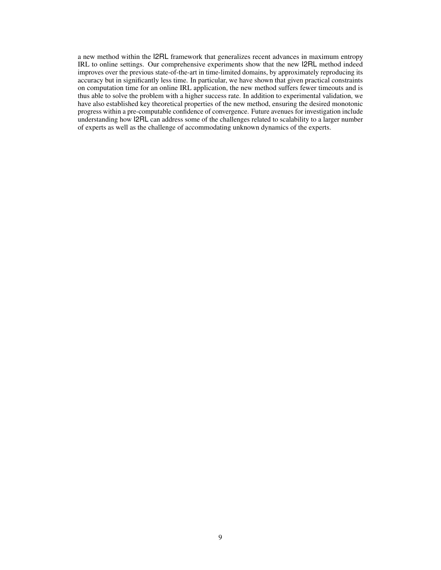a new method within the I2RL framework that generalizes recent advances in maximum entropy IRL to online settings. Our comprehensive experiments show that the new I2RL method indeed improves over the previous state-of-the-art in time-limited domains, by approximately reproducing its accuracy but in significantly less time. In particular, we have shown that given practical constraints on computation time for an online IRL application, the new method suffers fewer timeouts and is thus able to solve the problem with a higher success rate. In addition to experimental validation, we have also established key theoretical properties of the new method, ensuring the desired monotonic progress within a pre-computable confidence of convergence. Future avenues for investigation include understanding how I2RL can address some of the challenges related to scalability to a larger number of experts as well as the challenge of accommodating unknown dynamics of the experts.